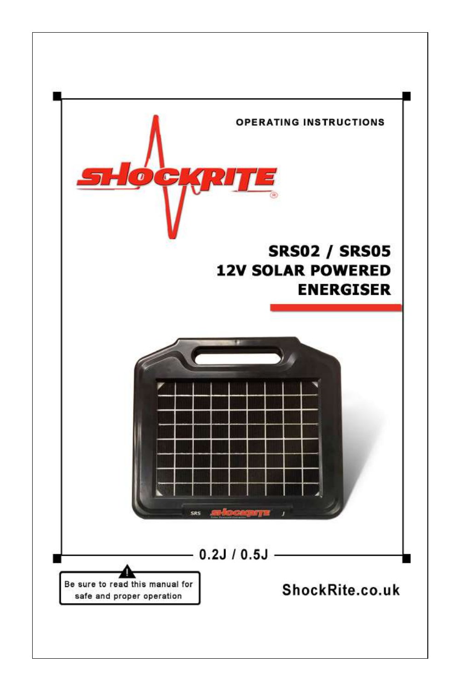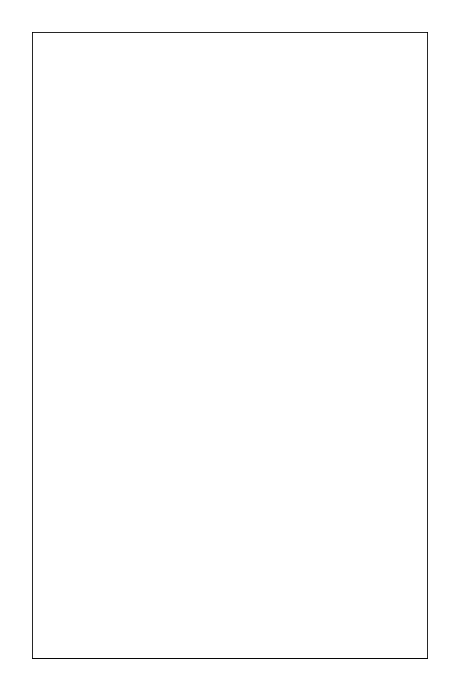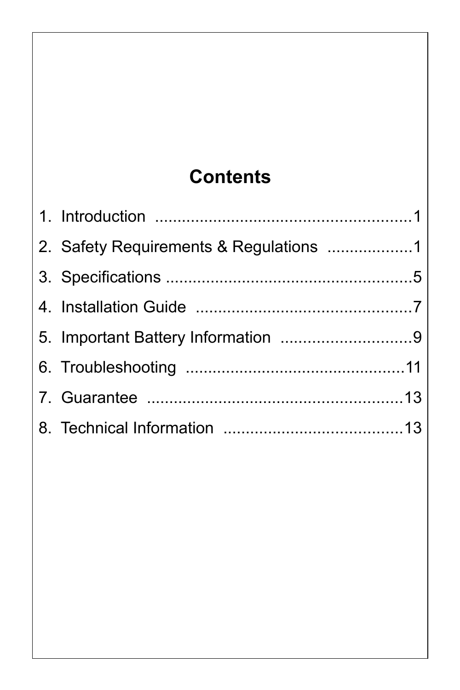# **Contents**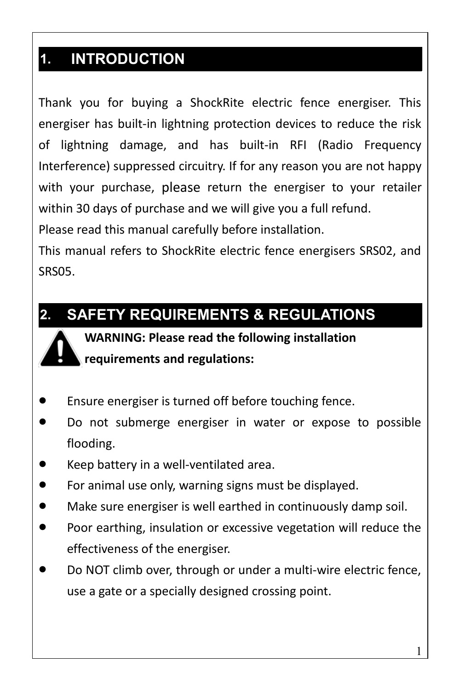## **1. INTRODUCTION**

Thank you for buying a ShockRite electric fence energiser. This energiser has built-in lightning protection devices to reduce the risk of lightning damage, and has built-in RFI (Radio Frequency Interference) suppressed circuitry. If for any reason you are not happy with your purchase, please return the energiser to your retailer within 30 days of purchase and we will give you a full refund.

Please read this manual carefully before installation.

This manual refers to ShockRite electric fence energisers SRS02, and SRS05.

## **2. SAFETY REQUIREMENTS & REGULATIONS**

**WARNING: Please read the following installation requirements and regulations:**

- Ensure energiser is turned off before touching fence.
- Do not submerge energiser in water or expose to possible flooding.
- Keep battery in a well-ventilated area.
- For animal use only, warning signs must be displayed.
- Make sure energiser is well earthed in continuously damp soil.
- Poor earthing, insulation or excessive vegetation will reduce the effectiveness of the energiser.
- Do NOT climb over, through or under a multi-wire electric fence, use a gate or a specially designed crossing point.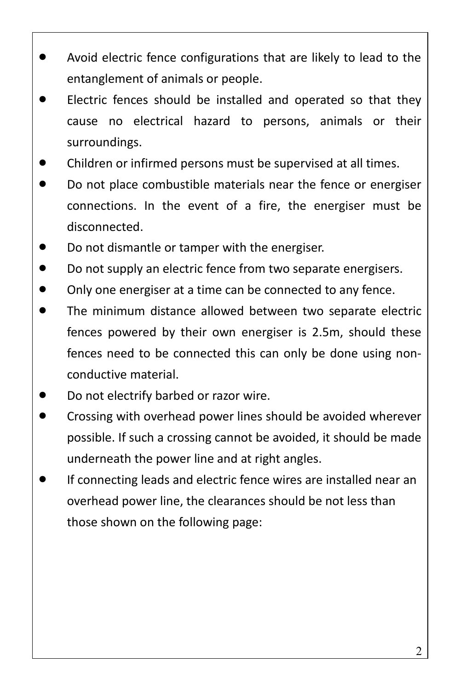- Avoid electric fence configurations that are likely to lead to the entanglement of animals or people.
- Electric fences should be installed and operated so that they cause no electrical hazard to persons, animals or their surroundings.
- Children or infirmed persons must be supervised at all times.
- Do not place combustible materials near the fence or energiser connections. In the event of a fire, the energiser must be disconnected.
- Do not dismantle or tamper with the energiser.
- Do not supply an electric fence from two separate energisers.
- Only one energiser at a time can be connected to any fence.
- The minimum distance allowed between two separate electric fences powered by their own energiser is 2.5m, should these fences need to be connected this can only be done using nonconductive material.
- Do not electrify barbed or razor wire.
- Crossing with overhead power lines should be avoided wherever possible. If such a crossing cannot be avoided, it should be made underneath the power line and at right angles.
- If connecting leads and electric fence wires are installed near an overhead power line, the clearances should be not less than those shown on the following page: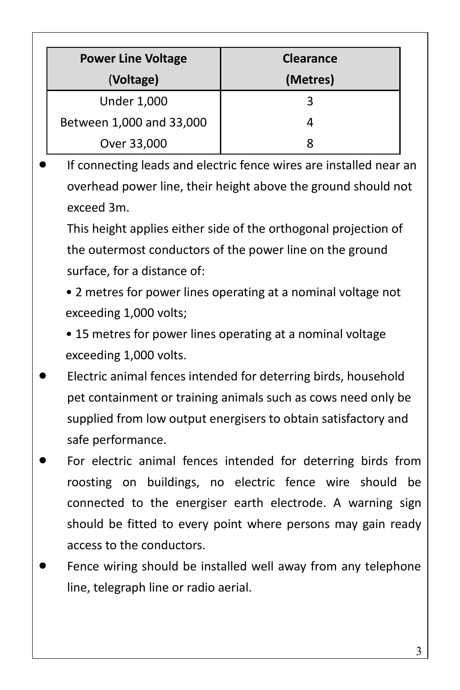| <b>Power Line Voltage</b><br>(Voltage) | <b>Clearance</b><br>(Metres) |
|----------------------------------------|------------------------------|
| Under 1,000                            |                              |
| Between 1,000 and 33,000               |                              |
| Over 33,000                            |                              |

 If connecting leads and electric fence wires are installed near an overhead power line, their height above the ground should not exceed 3m.

This height applies either side of the orthogonal projection of the outermost conductors of the power line on the ground surface, for a distance of:

- 2 metres for power lines operating at a nominal voltage not exceeding 1,000 volts;
- 15 metres for power lines operating at a nominal voltage exceeding 1,000 volts.
- Electric animal fences intended for deterring birds, household pet containment or training animals such as cows need only be supplied from low output energisers to obtain satisfactory and safe performance.
- For electric animal fences intended for deterring birds from roosting on buildings, no electric fence wire should be connected to the energiser earth electrode. A warning sign should be fitted to every point where persons may gain ready access to the conductors.
- Fence wiring should be installed well away from any telephone line, telegraph line or radio aerial.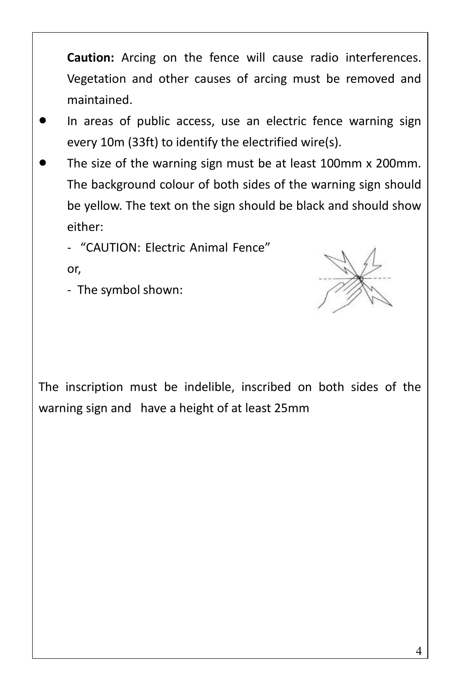**Caution:** Arcing on the fence will cause radio interferences. Vegetation and other causes of arcing must be removed and maintained.

- In areas of public access, use an electric fence warning sign every 10m (33ft) to identify the electrified wire(s).
- The size of the warning sign must be at least 100mm x 200mm. The background colour of both sides of the warning sign should be yellow. The text on the sign should be black and should show either:

- "CAUTION: Electric Animal Fence"

or,

- The symbol shown:

The inscription must be indelible, inscribed on both sides of the warning sign and have a height of at least 25mm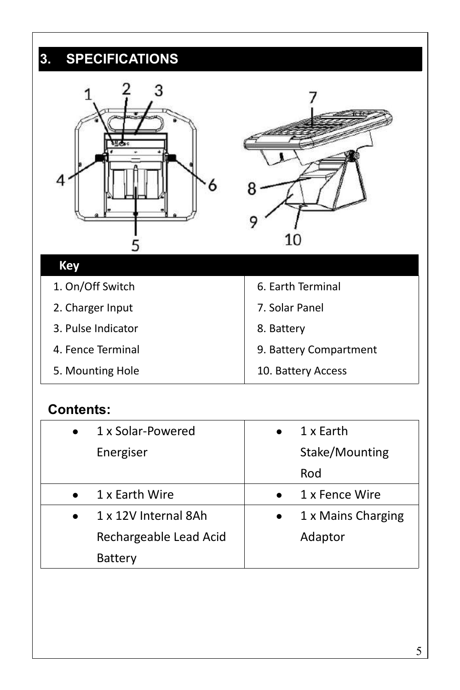### **3. SPECIFICATIONS**



#### **Contents:**

| $\bullet$ | 1 x Solar-Powered      | 1 x Earth          |
|-----------|------------------------|--------------------|
|           | Energiser              | Stake/Mounting     |
|           |                        | Rod                |
| $\bullet$ | 1 x Earth Wire         | 1 x Fence Wire     |
| $\bullet$ | 1 x 12V Internal 8Ah   | 1 x Mains Charging |
|           | Rechargeable Lead Acid | Adaptor            |
|           | Battery                |                    |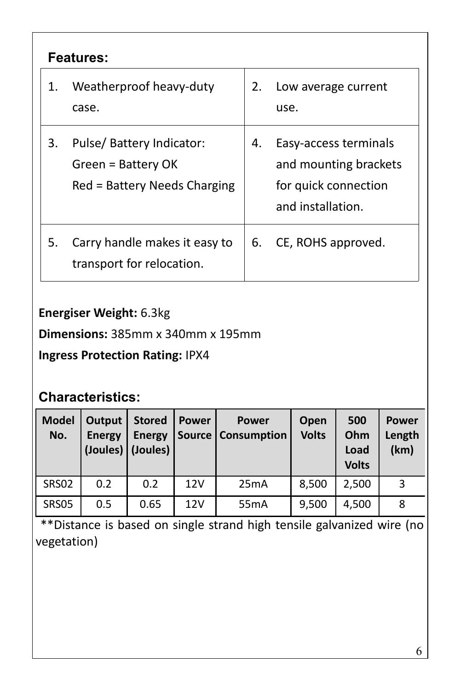| <b>Features:</b> |                                                                                |    |                                                                                             |  |  |
|------------------|--------------------------------------------------------------------------------|----|---------------------------------------------------------------------------------------------|--|--|
| 1.               | Weatherproof heavy-duty<br>case.                                               | 2. | Low average current<br>use.                                                                 |  |  |
| 3.               | Pulse/Battery Indicator:<br>Green = Battery OK<br>Red = Battery Needs Charging | 4. | Easy-access terminals<br>and mounting brackets<br>for quick connection<br>and installation. |  |  |
| 5.               | Carry handle makes it easy to<br>transport for relocation.                     | 6. | CE, ROHS approved.                                                                          |  |  |

**Energiser Weight:** 6.3kg

**Dimensions:** 385mm x 340mm x 195mm

**Ingress Protection Rating:** IPX4

#### **Characteristics:**

| <b>Model</b><br>No. | Output  <br>Energy | <b>Stored</b><br><b>Energy</b><br>(Joules)   (Joules) | <b>Power</b> | <b>Power</b><br>Source   Consumption | Open<br><b>Volts</b> | 500<br>Ohm<br>Load<br><b>Volts</b> | <b>Power</b><br>Length<br>(km) |
|---------------------|--------------------|-------------------------------------------------------|--------------|--------------------------------------|----------------------|------------------------------------|--------------------------------|
| SRS02               | 0.2                | 0.2                                                   | 12V          | 25mA                                 | 8,500                | 2,500                              | 3                              |
| SRS05               | 0.5                | 0.65                                                  | 12V          | 55 <sub>m</sub> A                    | 9,500                | 4,500                              | 8                              |

\*\*Distance is based on single strand high tensile galvanized wire (no vegetation)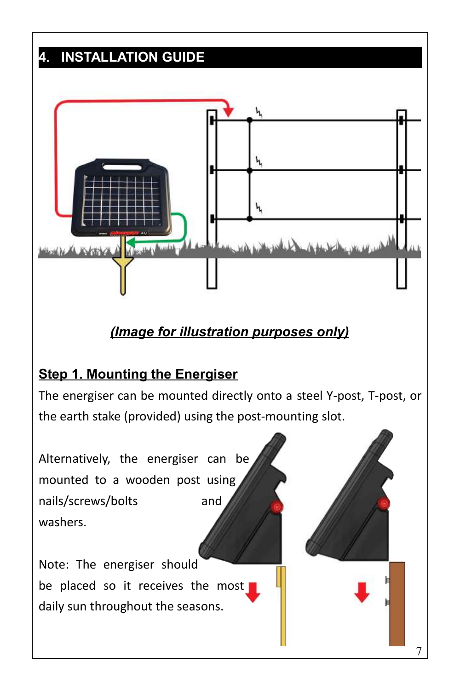## **4. INSTALLATION GUIDE**



#### *(Image for illustration purposes only)*

#### **Step 1. Mounting the Energiser**

The energiser can be mounted directly onto a steel Y-post, T-post, or the earth stake (provided) using the post-mounting slot.

Alternatively, the energiser can be mounted to a wooden post using nails/screws/bolts and washers.

Note: The energiser should be placed so it receives the most daily sun throughout the seasons.

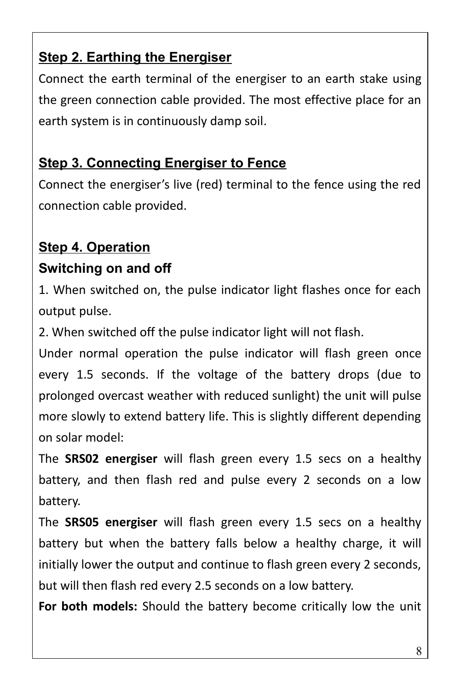### **Step 2. Earthing the Energiser**

Connect the earth terminal of the energiser to an earth stake using the green connection cable provided. The most effective place for an earth system is in continuously damp soil.

#### **Step 3. Connecting Energiser to Fence**

Connect the energiser's live (red) terminal to the fence using the red connection cable provided.

## **Step 4. Operation**

#### **Switching on and off**

1. When switched on, the pulse indicator light flashes once for each output pulse.

2. When switched off the pulse indicator light will not flash.

Under normal operation the pulse indicator will flash green once every 1.5 seconds. If the voltage of the battery drops (due to prolonged overcast weather with reduced sunlight) the unit will pulse more slowly to extend battery life. This is slightly different depending on solar model:

The **SRS02 energiser** will flash green every 1.5 secs on a healthy battery, and then flash red and pulse every 2 seconds on a low battery.

The **SRS05 energiser** will flash green every 1.5 secs on a healthy battery but when the battery falls below a healthy charge, it will initially lower the output and continue to flash green every 2 seconds, but will then flash red every 2.5 seconds on a low battery.

**For both models:** Should the battery become critically low the unit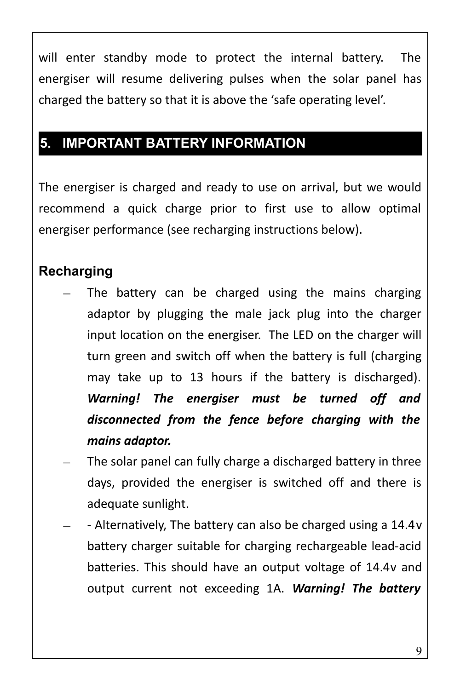will enter standby mode to protect the internal battery. The energiser will resume delivering pulses when the solar panel has charged the battery so that it is above the 'safe operating level'.

#### **5. IMPORTANT BATTERY INFORMATION**

The energiser is charged and ready to use on arrival, but we would recommend a quick charge prior to first use to allow optimal energiser performance (see recharging instructions below).

#### **Recharging**

- The battery can be charged using the mains charging adaptor by plugging the male jack plug into the charger input location on the energiser. The LED on the charger will turn green and switch off when the battery is full (charging may take up to 13 hours if the battery is discharged). *Warning! The energiser must be turned off and disconnected from the fence before charging with the mains adaptor.*
- The solar panel can fully charge a discharged battery in three days, provided the energiser is switched off and there is adequate sunlight.
- Alternatively, The battery can also be charged using a 14.4v battery charger suitable for charging rechargeable lead-acid batteries. This should have an output voltage of 14.4v and output current not exceeding 1A. *Warning! The battery*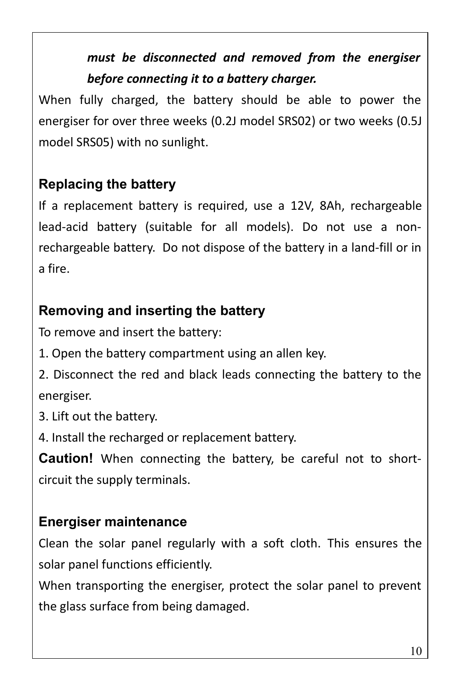## *must be disconnected and removed from the energiser before connecting it to a battery charger.*

When fully charged, the battery should be able to power the energiser for over three weeks (0.2J model SRS02) or two weeks (0.5J model SRS05) with no sunlight.

#### **Replacing the battery**

If a replacement battery is required, use a 12V, 8Ah, rechargeable lead-acid battery (suitable for all models). Do not use a nonrechargeable battery. Do not dispose of the battery in a land-fill or in a fire.

#### **Removing and inserting the battery**

To remove and insert the battery:

1. Open the battery compartment using an allen key.

2. Disconnect the red and black leads connecting the battery to the energiser.

3. Lift out the battery.

4. Install the recharged or replacement battery.

**Caution!** When connecting the battery, be careful not to shortcircuit the supply terminals.

#### **Energiser maintenance**

Clean the solar panel regularly with a soft cloth. This ensures the solar panel functions efficiently.

When transporting the energiser, protect the solar panel to prevent the glass surface from being damaged.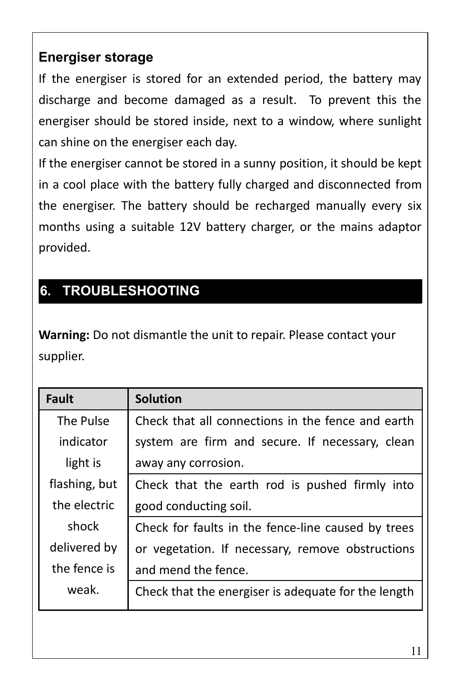#### **Energiser storage**

If the energiser is stored for an extended period, the battery may discharge and become damaged as a result. To prevent this the energiser should be stored inside, next to a window, where sunlight can shine on the energiser each day.

If the energiser cannot be stored in a sunny position, it should be kept in a cool place with the battery fully charged and disconnected from the energiser. The battery should be recharged manually every six months using a suitable 12V battery charger, or the mains adaptor provided.

## **6. TROUBLESHOOTING**

**Warning:** Do not dismantle the unit to repair. Please contact your supplier.

| <b>Fault</b>                        | <b>Solution</b>                                     |  |  |  |  |
|-------------------------------------|-----------------------------------------------------|--|--|--|--|
| The Pulse                           | Check that all connections in the fence and earth   |  |  |  |  |
| indicator                           | system are firm and secure. If necessary, clean     |  |  |  |  |
| light is                            | away any corrosion.                                 |  |  |  |  |
| flashing, but                       | Check that the earth rod is pushed firmly into      |  |  |  |  |
| the electric                        | good conducting soil.                               |  |  |  |  |
| shock                               | Check for faults in the fence-line caused by trees  |  |  |  |  |
| delivered by                        | or vegetation. If necessary, remove obstructions    |  |  |  |  |
| the fence is<br>and mend the fence. |                                                     |  |  |  |  |
| weak.                               | Check that the energiser is adequate for the length |  |  |  |  |
|                                     |                                                     |  |  |  |  |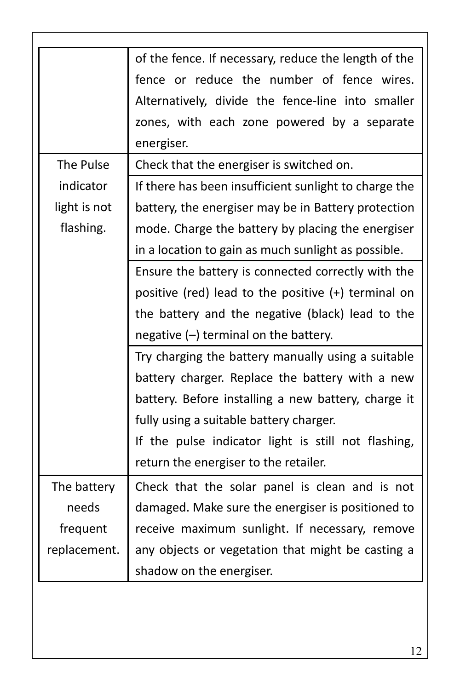|              | of the fence. If necessary, reduce the length of the  |
|--------------|-------------------------------------------------------|
|              | fence or reduce the number of fence wires.            |
|              | Alternatively, divide the fence-line into smaller     |
|              | zones, with each zone powered by a separate           |
|              | energiser.                                            |
| The Pulse    | Check that the energiser is switched on.              |
| indicator    | If there has been insufficient sunlight to charge the |
| light is not | battery, the energiser may be in Battery protection   |
| flashing.    | mode. Charge the battery by placing the energiser     |
|              | in a location to gain as much sunlight as possible.   |
|              | Ensure the battery is connected correctly with the    |
|              | positive (red) lead to the positive (+) terminal on   |
|              | the battery and the negative (black) lead to the      |
|              | negative $(-)$ terminal on the battery.               |
|              | Try charging the battery manually using a suitable    |
|              | battery charger. Replace the battery with a new       |
|              | battery. Before installing a new battery, charge it   |
|              | fully using a suitable battery charger.               |
|              | If the pulse indicator light is still not flashing,   |
|              | return the energiser to the retailer.                 |
| The battery  | Check that the solar panel is clean and is not        |
| needs        | damaged. Make sure the energiser is positioned to     |
| frequent     | receive maximum sunlight. If necessary, remove        |
| replacement. | any objects or vegetation that might be casting a     |
|              | shadow on the energiser.                              |
|              |                                                       |
|              |                                                       |
|              |                                                       |